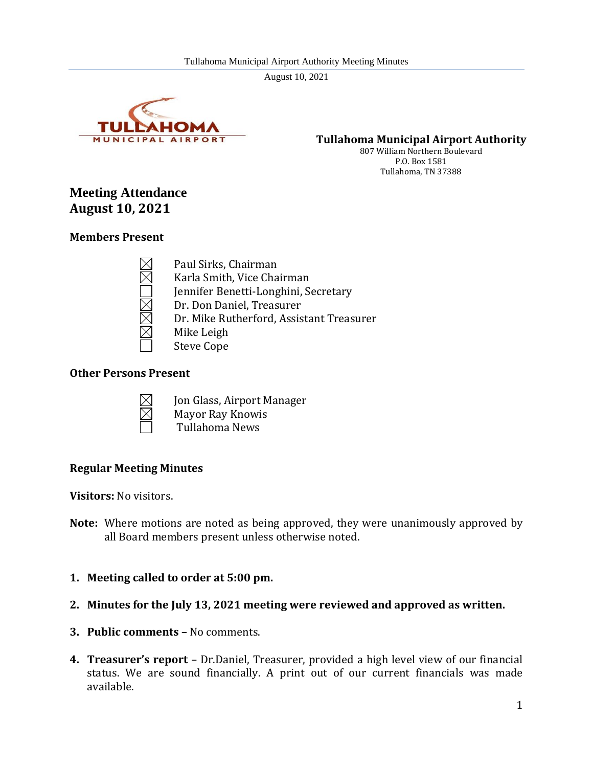

**Tullahoma Municipal Airport Authority**

807 William Northern Boulevard P.O. Box 1581 Tullahoma, TN 37388

# **Meeting Attendance August 10, 2021**

#### **Members Present**

Paul Sirks, Chairman Karla Smith, Vice Chairman Jennifer Benetti-Longhini, Secretary Dr. Don Daniel, Treasurer

Dr. Mike Rutherford, Assistant Treasurer Mike Leigh Steve Cope

## **Other Persons Present**



Jon Glass, Airport Manager Mayor Ray Knowis Tullahoma News

## **Regular Meeting Minutes**

**Visitors:** No visitors.

- **Note:** Where motions are noted as being approved, they were unanimously approved by all Board members present unless otherwise noted.
- **1. Meeting called to order at 5:00 pm.**
- **2. Minutes for the July 13, 2021 meeting were reviewed and approved as written.**
- **3. Public comments –** No comments.
- **4. Treasurer's report**  Dr.Daniel, Treasurer, provided a high level view of our financial status. We are sound financially. A print out of our current financials was made available.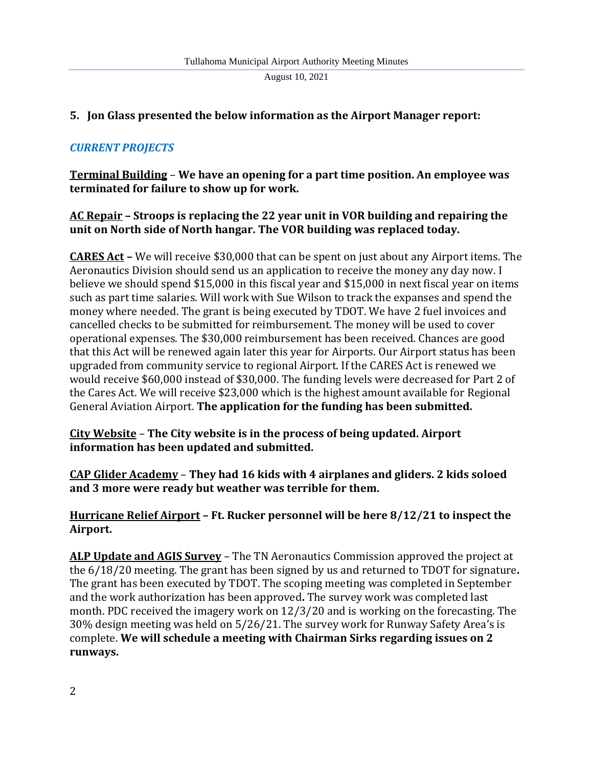#### **5. Jon Glass presented the below information as the Airport Manager report:**

#### *CURRENT PROJECTS*

**Terminal Building** – **We have an opening for a part time position. An employee was terminated for failure to show up for work.**

## **AC Repair – Stroops is replacing the 22 year unit in VOR building and repairing the unit on North side of North hangar. The VOR building was replaced today.**

**CARES Act –** We will receive \$30,000 that can be spent on just about any Airport items. The Aeronautics Division should send us an application to receive the money any day now. I believe we should spend \$15,000 in this fiscal year and \$15,000 in next fiscal year on items such as part time salaries. Will work with Sue Wilson to track the expanses and spend the money where needed. The grant is being executed by TDOT. We have 2 fuel invoices and cancelled checks to be submitted for reimbursement. The money will be used to cover operational expenses. The \$30,000 reimbursement has been received. Chances are good that this Act will be renewed again later this year for Airports. Our Airport status has been upgraded from community service to regional Airport. If the CARES Act is renewed we would receive \$60,000 instead of \$30,000. The funding levels were decreased for Part 2 of the Cares Act. We will receive \$23,000 which is the highest amount available for Regional General Aviation Airport. **The application for the funding has been submitted.**

**City Website** – **The City website is in the process of being updated. Airport information has been updated and submitted.**

**CAP Glider Academy** – **They had 16 kids with 4 airplanes and gliders. 2 kids soloed and 3 more were ready but weather was terrible for them.**

## **Hurricane Relief Airport – Ft. Rucker personnel will be here 8/12/21 to inspect the Airport.**

**ALP Update and AGIS Survey** – The TN Aeronautics Commission approved the project at the 6/18/20 meeting. The grant has been signed by us and returned to TDOT for signature**.** The grant has been executed by TDOT. The scoping meeting was completed in September and the work authorization has been approved**.** The survey work was completed last month. PDC received the imagery work on 12/3/20 and is working on the forecasting. The 30% design meeting was held on 5/26/21. The survey work for Runway Safety Area's is complete. **We will schedule a meeting with Chairman Sirks regarding issues on 2 runways.**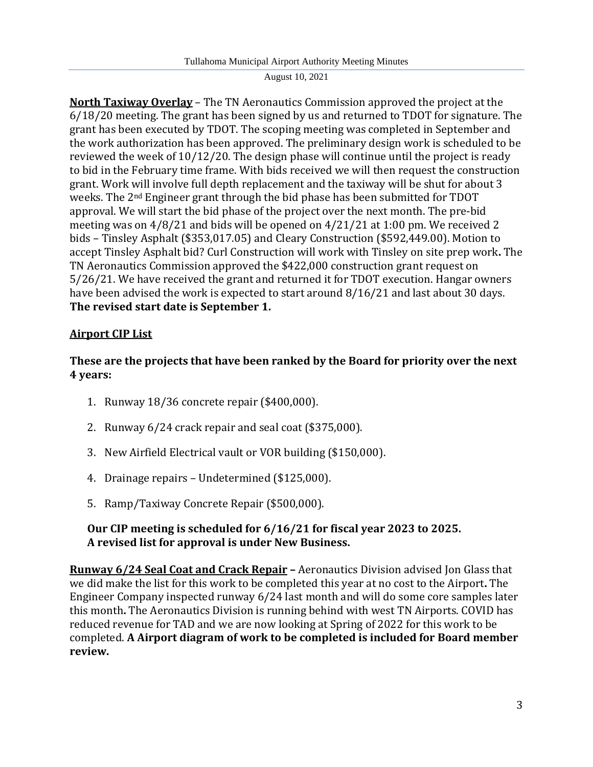**North Taxiway Overlay** – The TN Aeronautics Commission approved the project at the 6/18/20 meeting. The grant has been signed by us and returned to TDOT for signature. The grant has been executed by TDOT. The scoping meeting was completed in September and the work authorization has been approved. The preliminary design work is scheduled to be reviewed the week of 10/12/20. The design phase will continue until the project is ready to bid in the February time frame. With bids received we will then request the construction grant. Work will involve full depth replacement and the taxiway will be shut for about 3 weeks. The 2nd Engineer grant through the bid phase has been submitted for TDOT approval. We will start the bid phase of the project over the next month. The pre-bid meeting was on 4/8/21 and bids will be opened on 4/21/21 at 1:00 pm. We received 2 bids – Tinsley Asphalt (\$353,017.05) and Cleary Construction (\$592,449.00). Motion to accept Tinsley Asphalt bid? Curl Construction will work with Tinsley on site prep work**.** The TN Aeronautics Commission approved the \$422,000 construction grant request on 5/26/21. We have received the grant and returned it for TDOT execution. Hangar owners have been advised the work is expected to start around 8/16/21 and last about 30 days. **The revised start date is September 1.** 

# **Airport CIP List**

# **These are the projects that have been ranked by the Board for priority over the next 4 years:**

- 1. Runway 18/36 concrete repair (\$400,000).
- 2. Runway 6/24 crack repair and seal coat (\$375,000).
- 3. New Airfield Electrical vault or VOR building (\$150,000).
- 4. Drainage repairs Undetermined (\$125,000).
- 5. Ramp/Taxiway Concrete Repair (\$500,000).

# **Our CIP meeting is scheduled for 6/16/21 for fiscal year 2023 to 2025. A revised list for approval is under New Business.**

**Runway 6/24 Seal Coat and Crack Repair –** Aeronautics Division advised Jon Glass that we did make the list for this work to be completed this year at no cost to the Airport**.** The Engineer Company inspected runway 6/24 last month and will do some core samples later this month**.** The Aeronautics Division is running behind with west TN Airports. COVID has reduced revenue for TAD and we are now looking at Spring of 2022 for this work to be completed. **A Airport diagram of work to be completed is included for Board member review.**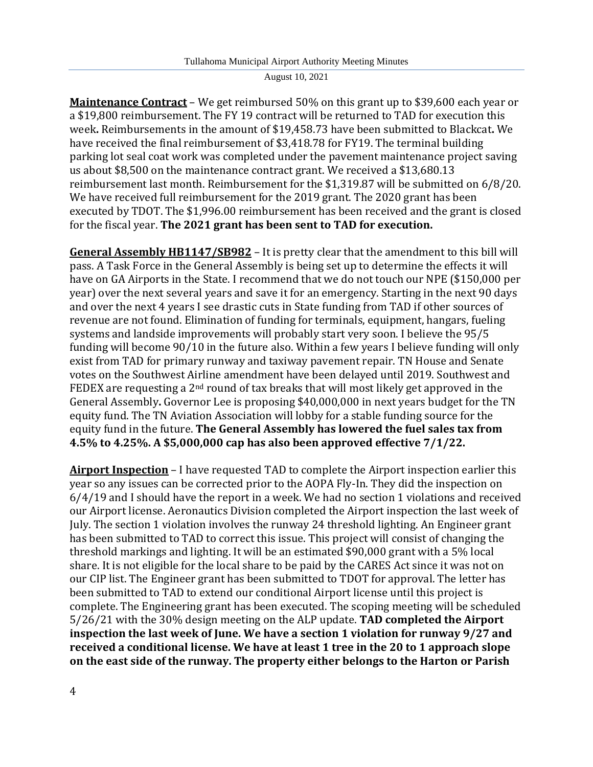**Maintenance Contract** – We get reimbursed 50% on this grant up to \$39,600 each year or a \$19,800 reimbursement. The FY 19 contract will be returned to TAD for execution this week**.** Reimbursements in the amount of \$19,458.73 have been submitted to Blackcat**.** We have received the final reimbursement of \$3,418.78 for FY19. The terminal building parking lot seal coat work was completed under the pavement maintenance project saving us about \$8,500 on the maintenance contract grant. We received a \$13,680.13 reimbursement last month. Reimbursement for the \$1,319.87 will be submitted on 6/8/20. We have received full reimbursement for the 2019 grant. The 2020 grant has been executed by TDOT. The \$1,996.00 reimbursement has been received and the grant is closed for the fiscal year. **The 2021 grant has been sent to TAD for execution.**

**General Assembly HB1147/SB982** – It is pretty clear that the amendment to this bill will pass. A Task Force in the General Assembly is being set up to determine the effects it will have on GA Airports in the State. I recommend that we do not touch our NPE (\$150,000 per year) over the next several years and save it for an emergency. Starting in the next 90 days and over the next 4 years I see drastic cuts in State funding from TAD if other sources of revenue are not found. Elimination of funding for terminals, equipment, hangars, fueling systems and landside improvements will probably start very soon. I believe the 95/5 funding will become 90/10 in the future also. Within a few years I believe funding will only exist from TAD for primary runway and taxiway pavement repair. TN House and Senate votes on the Southwest Airline amendment have been delayed until 2019. Southwest and FEDEX are requesting a  $2<sup>nd</sup>$  round of tax breaks that will most likely get approved in the General Assembly**.** Governor Lee is proposing \$40,000,000 in next years budget for the TN equity fund. The TN Aviation Association will lobby for a stable funding source for the equity fund in the future. **The General Assembly has lowered the fuel sales tax from 4.5% to 4.25%. A \$5,000,000 cap has also been approved effective 7/1/22.**

**Airport Inspection** – I have requested TAD to complete the Airport inspection earlier this year so any issues can be corrected prior to the AOPA Fly-In. They did the inspection on 6/4/19 and I should have the report in a week. We had no section 1 violations and received our Airport license. Aeronautics Division completed the Airport inspection the last week of July. The section 1 violation involves the runway 24 threshold lighting. An Engineer grant has been submitted to TAD to correct this issue. This project will consist of changing the threshold markings and lighting. It will be an estimated \$90,000 grant with a 5% local share. It is not eligible for the local share to be paid by the CARES Act since it was not on our CIP list. The Engineer grant has been submitted to TDOT for approval. The letter has been submitted to TAD to extend our conditional Airport license until this project is complete. The Engineering grant has been executed. The scoping meeting will be scheduled 5/26/21 with the 30% design meeting on the ALP update. **TAD completed the Airport inspection the last week of June. We have a section 1 violation for runway 9/27 and received a conditional license. We have at least 1 tree in the 20 to 1 approach slope on the east side of the runway. The property either belongs to the Harton or Parish**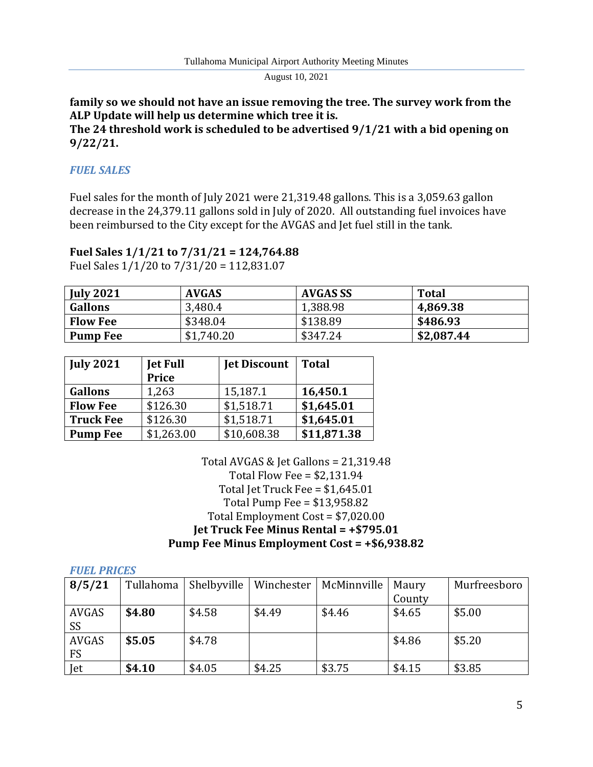## **family so we should not have an issue removing the tree. The survey work from the ALP Update will help us determine which tree it is. The 24 threshold work is scheduled to be advertised 9/1/21 with a bid opening on 9/22/21.**

# *FUEL SALES*

Fuel sales for the month of July 2021 were 21,319.48 gallons. This is a 3,059.63 gallon decrease in the 24,379.11 gallons sold in July of 2020. All outstanding fuel invoices have been reimbursed to the City except for the AVGAS and Jet fuel still in the tank.

## **Fuel Sales 1/1/21 to 7/31/21 = 124,764.88**

Fuel Sales 1/1/20 to 7/31/20 = 112,831.07

| <b>Iuly 2021</b> | <b>AVGAS</b> | <b>AVGAS SS</b> | <b>Total</b> |
|------------------|--------------|-----------------|--------------|
| <b>Gallons</b>   | 3,480.4      | 1,388.98        | 4,869.38     |
| <b>Flow Fee</b>  | \$348.04     | \$138.89        | \$486.93     |
| <b>Pump Fee</b>  | \$1,740.20   | \$347.24        | \$2,087.44   |

| <b>July 2021</b> | <b>Jet Full</b> | <b>Jet Discount</b> | Total       |
|------------------|-----------------|---------------------|-------------|
|                  | <b>Price</b>    |                     |             |
| <b>Gallons</b>   | 1,263           | 15,187.1            | 16,450.1    |
| <b>Flow Fee</b>  | \$126.30        | \$1,518.71          | \$1,645.01  |
| <b>Truck Fee</b> | \$126.30        | \$1,518.71          | \$1,645.01  |
| <b>Pump Fee</b>  | \$1,263.00      | \$10,608.38         | \$11,871.38 |

Total AVGAS & Jet Gallons = 21,319.48 Total Flow Fee = \$2,131.94 Total Jet Truck Fee = \$1,645.01 Total Pump Fee = \$13,958.82 Total Employment Cost = \$7,020.00 **Jet Truck Fee Minus Rental = +\$795.01 Pump Fee Minus Employment Cost = +\$6,938.82**

| <b>FUEL PRICES</b> |           |             |            |             |        |              |
|--------------------|-----------|-------------|------------|-------------|--------|--------------|
| 8/5/21             | Tullahoma | Shelbyville | Winchester | McMinnville | Maury  | Murfreesboro |
|                    |           |             |            |             | County |              |
| AVGAS              | \$4.80    | \$4.58      | \$4.49     | \$4.46      | \$4.65 | \$5.00       |
| <b>SS</b>          |           |             |            |             |        |              |
| <b>AVGAS</b>       | \$5.05    | \$4.78      |            |             | \$4.86 | \$5.20       |
| FS                 |           |             |            |             |        |              |
| Jet                | \$4.10    | \$4.05      | \$4.25     | \$3.75      | \$4.15 | \$3.85       |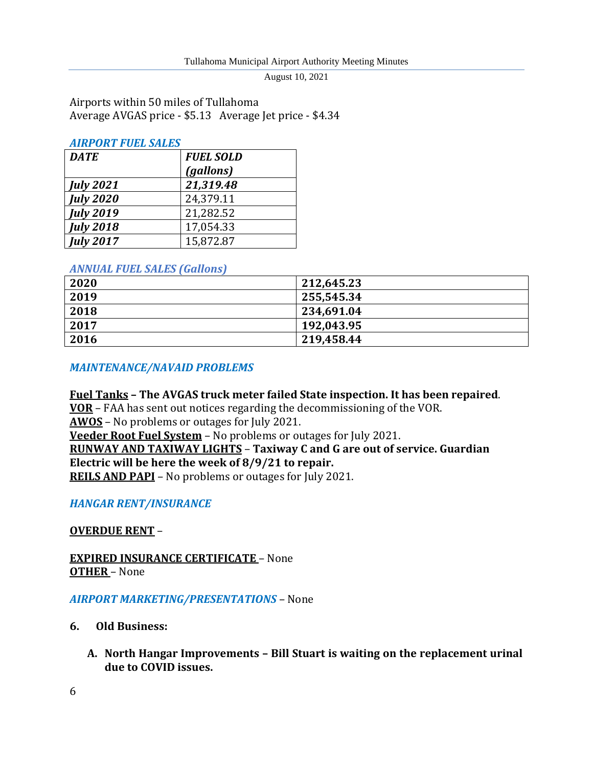Airports within 50 miles of Tullahoma Average AVGAS price - \$5.13 Average Jet price - \$4.34

#### *AIRPORT FUEL SALES*

| <b>DATE</b>      | <b>FUEL SOLD</b> |
|------------------|------------------|
|                  | (gallons)        |
| <b>July 2021</b> | 21,319.48        |
| <b>July 2020</b> | 24,379.11        |
| <b>July 2019</b> | 21,282.52        |
| <b>July 2018</b> | 17,054.33        |
| <b>July 2017</b> | 15,872.87        |

## *ANNUAL FUEL SALES (Gallons)*

| 2020 | 212,645.23 |
|------|------------|
| 2019 | 255,545.34 |
| 2018 | 234,691.04 |
| 2017 | 192,043.95 |
| 2016 | 219,458.44 |

*MAINTENANCE/NAVAID PROBLEMS*

**Fuel Tanks – The AVGAS truck meter failed State inspection. It has been repaired**.

**VOR** – FAA has sent out notices regarding the decommissioning of the VOR.

**AWOS** – No problems or outages for July 2021.

**Veeder Root Fuel System** – No problems or outages for July 2021.

#### **RUNWAY AND TAXIWAY LIGHTS** – **Taxiway C and G are out of service. Guardian Electric will be here the week of 8/9/21 to repair.**

**REILS AND PAPI** – No problems or outages for July 2021.

# *HANGAR RENT/INSURANCE*

## **OVERDUE RENT** –

**EXPIRED INSURANCE CERTIFICATE** – None **OTHER** – None

## *AIRPORT MARKETING/PRESENTATIONS* – None

## **6. Old Business:**

**A. North Hangar Improvements – Bill Stuart is waiting on the replacement urinal due to COVID issues.**